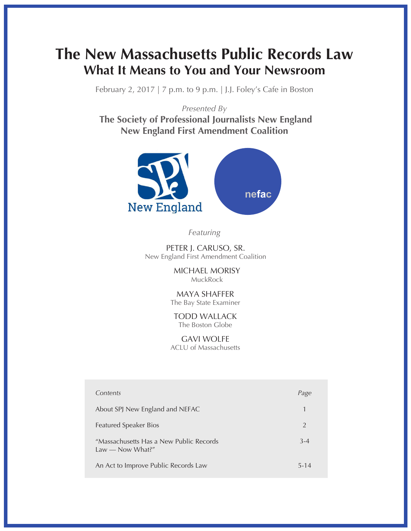# **The New Massachusetts Public Records Law What It Means to You and Your Newsroom**

February 2, 2017 | 7 p.m. to 9 p.m. | J.J. Foley's Cafe in Boston

*Presented By*  **The Society of Professional Journalists New England New England First Amendment Coalition**



*Featuring*

PETER J. CARUSO, SR. New England First Amendment Coalition

> MICHAEL MORISY MuckRock

MAYA SHAFFER The Bay State Examiner

TODD WALLACK The Boston Globe

GAVI WOLFE ACLU of Massachusetts

| Contents                                                     | Page     |
|--------------------------------------------------------------|----------|
| About SPJ New England and NEFAC                              | 1        |
| <b>Featured Speaker Bios</b>                                 | 2        |
| "Massachusetts Has a New Public Records"<br>Law — Now What?" | $3 - 4$  |
| An Act to Improve Public Records Law                         | $5 - 14$ |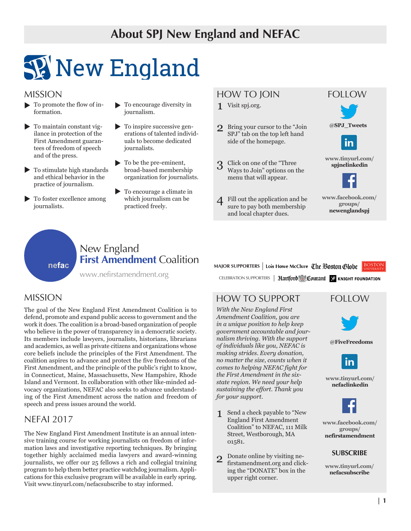# **About SPJ New England and NEFAC**



#### MISSION

- To promote the flow of in-u formation.
- To maintain constant vig-u ilance in protection of the First Amendment guarantees of freedom of speech and of the press.
- $\blacktriangleright$  To stimulate high standards and ethical behavior in the practice of journalism.
- $\blacktriangleright$  To foster excellence among journalists.
- To encourage diversity in journalism.  $\blacktriangleright$
- $\blacktriangleright$  To inspire successive generations of talented individuals to become dedicated journalists.
- To be the pre-eminent, u broad-based membership organization for journalists.
- $\blacktriangleright$  To encourage a climate in which journalism can be practiced freely.

## HOW TO JOIN

- 1 Visit spj.org.
- $\sum_{P}$  Bring your cursor to the "Join" to perfect that SPJ" tab on the top left hand side of the homepage.
- Click on one of the "Three Ways to Join" options on the menu that will appear. 3
- $\overline{4}$  Fill out the application and be sure to pay both membership and local chapter dues.



# **nefac**

## New England **First Amendment** Coalition

www.nefirstamendment.org

## MISSION

The goal of the New England First Amendment Coalition is to defend, promote and expand public access to government and the work it does. The coalition is a broad-based organization of people who believe in the power of transparency in a democratic society. Its members include lawyers, journalists, historians, librarians and academics, as well as private citizens and organizations whose core beliefs include the principles of the First Amendment. The coalition aspires to advance and protect the five freedoms of the First Amendment, and the principle of the public's right to know, in Connecticut, Maine, Massachusetts, New Hampshire, Rhode Island and Vermont. In collaboration with other like-minded advocacy organizations, NEFAC also seeks to advance understanding of the First Amendment across the nation and freedom of speech and press issues around the world.

## NEFAI 2017

The New England First Amendment Institute is an annual intensive training course for working journalists on freedom of information laws and investigative reporting techniques. By bringing together highly acclaimed media lawyers and award-winning journalists, we offer our 25 fellows a rich and collegial training program to help them better practice watchdog journalism. Applications for this exclusive program will be available in early spring. Visit www.tinyurl.com/nefacsubscribe to stay informed.

HOW TO SUPPORT

**MAJOR SUPPORTERS** | Lois Howe McClure The Boston Blobe | BOSTON CELEBRATION SUPPORTERS | Hartford Celebration

*With the New England First Amendment Coalition, you are in a unique position to help keep government accountable and journalism thriving. With the support of individuals like you, NEFAC is making strides. Every donation, no matter the size, counts when it comes to helping NEFAC fight for the First Amendment in the sixstate region. We need your help sustaining the effort. Thank you for your support.*

- 1 Send a check payable to "New England First Amendment Coalition" to NEFAC, 111 Milk Street, Westborough, MA 01581.
- 2 Donate online by visiting nefirstamendment.org and clicking the "DONATE" box in the upper right corner.





**@FiveFreedoms**



**www.tinyurl.com/ nefaclinkedin**



**www.facebook.com/ groups/ nefirstamendment**

#### **SUBSCRIBE**

**www.tinyurl.com/ nefacsubscribe**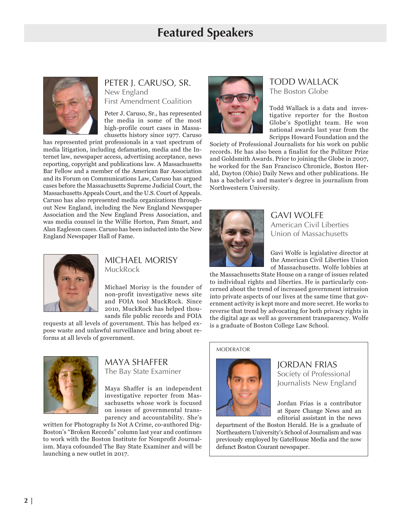## **Featured Speakers**



#### PETER J. CARUSO, SR. New England First Amendment Coalition

Peter J. Caruso, Sr., has represented the media in some of the most high-profile court cases in Massachusetts history since 1977. Caruso

has represented print professionals in a vast spectrum of media litigation, including defamation, media and the Internet law, newspaper access, advertising acceptance, news reporting, copyright and publications law. A Massachusetts Bar Fellow and a member of the American Bar Association and its Forum on Communications Law, Caruso has argued cases before the Massachusetts Supreme Judicial Court, the Massachusetts Appeals Court, and the U.S. Court of Appeals. Caruso has also represented media organizations throughout New England, including the New England Newspaper Association and the New England Press Association, and was media counsel in the Willie Horton, Pam Smart, and Alan Eagleson cases. Caruso has been inducted into the New England Newspaper Hall of Fame.



#### MICHAEL MORISY MuckRock

Michael Morisy is the founder of non-profit investigative news site and FOIA tool MuckRock. Since 2010, MuckRock has helped thousands file public records and FOIA

requests at all levels of government. This has helped expose waste and unlawful surveillance and bring about reforms at all levels of government.



# MAYA SHAFFER

The Bay State Examiner

Maya Shaffer is an independent investigative reporter from Massachusetts whose work is focused on issues of governmental transparency and accountability. She's

written for Photography Is Not A Crime, co-authored Dig-Boston's "Broken Records" column last year and continues to work with the Boston Institute for Nonprofit Journalism. Maya cofounded The Bay State Examiner and will be launching a new outlet in 2017.



#### TODD WALLACK The Boston Globe

Todd Wallack is a data and investigative reporter for the Boston Globe's Spotlight team. He won national awards last year from the Scripps Howard Foundation and the

Society of Professional Journalists for his work on public records. He has also been a finalist for the Pulitzer Prize and Goldsmith Awards. Prior to joining the Globe in 2007, he worked for the San Francisco Chronicle, Boston Herald, Dayton (Ohio) Daily News and other publications. He has a bachelor's and master's degree in journalism from Northwestern University.



GAVI WOLFE American Civil Liberties Union of Massachusetts

Gavi Wolfe is legislative director at the American Civil Liberties Union of Massachusetts. Wolfe lobbies at

the Massachusetts State House on a range of issues related to individual rights and liberties. He is particularly concerned about the trend of increased government intrusion into private aspects of our lives at the same time that government activity is kept more and more secret. He works to reverse that trend by advocating for both privacy rights in the digital age as well as government transparency. Wolfe is a graduate of Boston College Law School.

#### MODERATOR



#### JORDAN FRIAS Society of Professional Journalists New England

Jordan Frias is a contributor at Spare Change News and an editorial assistant in the news

department of the Boston Herald. He is a graduate of Northeastern University's School of Journalism and was previously employed by GateHouse Media and the now defunct Boston Courant newspaper.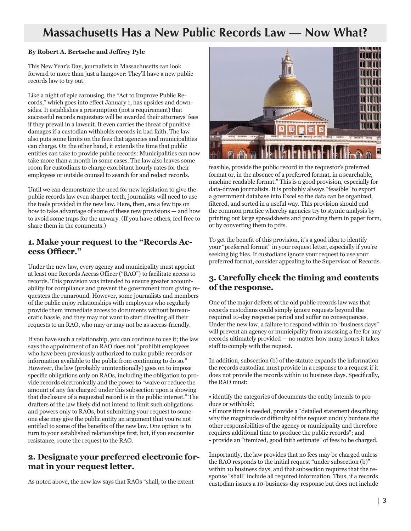# **Massachusetts Has a New Public Records Law — Now What?**

#### **By Robert A. Bertsche and Jeffrey Pyle**

This New Year's Day, journalists in Massachusetts can look forward to more than just a hangover: They'll have a new public records law to try out.

Like a night of epic carousing, the "Act to Improve Public Records," which goes into effect January 1, has upsides and downsides. It establishes a presumption (not a requirement) that successful records requesters will be awarded their attorneys' fees if they prevail in a lawsuit. It even carries the threat of punitive damages if a custodian withholds records in bad faith. The law also puts some limits on the fees that agencies and municipalities can charge. On the other hand, it extends the time that public entities can take to provide public records: Municipalities can now take more than a month in some cases. The law also leaves some room for custodians to charge exorbitant hourly rates for their employees or outside counsel to search for and redact records.

Until we can demonstrate the need for new legislation to give the public records law even sharper teeth, journalists will need to use the tools provided in the new law. Here, then, are a few tips on how to take advantage of some of these new provisions — and how to avoid some traps for the unwary. (If you have others, feel free to share them in the comments.)

#### **1. Make your request to the "Records Access Officer."**

Under the new law, every agency and municipality must appoint at least one Records Access Officer ("RAO") to facilitate access to records. This provision was intended to ensure greater accountability for compliance and prevent the government from giving requesters the runaround. However, some journalists and members of the public enjoy relationships with employees who regularly provide them immediate access to documents without bureaucratic hassle, and they may not want to start directing all their requests to an RAO, who may or may not be as access-friendly.

If you have such a relationship, you can continue to use it; the law says the appointment of an RAO does not "prohibit employees who have been previously authorized to make public records or information available to the public from continuing to do so." However, the law (probably unintentionally) goes on to impose specific obligations only on RAOs, including the obligation to provide records electronically and the power to "waive or reduce the amount of any fee charged under this subsection upon a showing that disclosure of a requested record is in the public interest." The drafters of the law likely did not intend to limit such obligations and powers only to RAOs, but submitting your request to someone else may give the public entity an argument that you're not entitled to some of the benefits of the new law. One option is to turn to your established relationships first, but, if you encounter resistance, route the request to the RAO.

#### **2. Designate your preferred electronic format in your request letter.**

As noted above, the new law says that RAOs "shall, to the extent



feasible, provide the public record in the requestor's preferred format or, in the absence of a preferred format, in a searchable, machine readable format." This is a good provision, especially for data-driven journalists. It is probably always "feasible" to export a government database into Excel so the data can be organized, filtered, and sorted in a useful way. This provision should end the common practice whereby agencies try to stymie analysis by printing out large spreadsheets and providing them in paper form, or by converting them to pdfs.

To get the benefit of this provision, it's a good idea to identify your "preferred format" in your request letter, especially if you're seeking big files. If custodians ignore your request to use your preferred format, consider appealing to the Supervisor of Records.

#### **3. Carefully check the timing and contents of the response.**

One of the major defects of the old public records law was that records custodians could simply ignore requests beyond the required 10-day response period and suffer no consequences. Under the new law, a failure to respond within 10 "business days" will prevent an agency or municipality from assessing a fee for any records ultimately provided — no matter how many hours it takes staff to comply with the request.

In addition, subsection (b) of the statute expands the information the records custodian must provide in a response to a request if it does not provide the records within 10 business days. Specifically, the RAO must:

• identify the categories of documents the entity intends to produce or withhold;

• if more time is needed, provide a "detailed statement describing why the magnitude or difficulty of the request unduly burdens the other responsibilities of the agency or municipality and therefore requires additional time to produce the public records"; and • provide an "itemized, good faith estimate" of fees to be charged.

Importantly, the law provides that no fees may be charged unless the RAO responds to the initial request "under subsection (b)" within 10 business days, and that subsection requires that the response "shall" include all required information. Thus, if a records custodian issues a 10-business-day response but does not include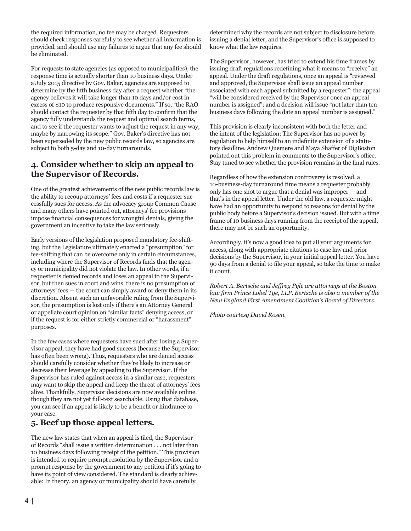the required information, no fee may be charged. Requesters should check responses carefully to see whether all information is provided, and should use any failures to argue that any fee should be eliminated.

For requests to state agencies (as opposed to municipalities), the response time is actually shorter than 10 business days. Under a July 2015 directive by Gov. Baker, agencies are supposed to determine by the fifth business day after a request whether "the agency believes it will take longer than 10 days and/or cost in excess of \$10 to produce responsive documents." If so, "the RAO should contact the requester by that fifth day to confirm that the agency fully understands the request and optimal search terms, and to see if the requester wants to adjust the request in any way, maybe by narrowing its scope." Gov. Baker's directive has not been superseded by the new public records law, so agencies are subject to both 5-day and 10-day turnarounds.

#### **4. Consider whether to skip an appeal to the Supervisor of Records.**

One of the greatest achievements of the new public records law is the ability to recoup attorneys' fees and costs if a requester successfully sues for access. As the advocacy group Common Cause and many others have pointed out, attorneys' fee provisions impose financial consequences for wrongful denials, giving the government an incentive to take the law seriously.

Early versions of the legislation proposed mandatory fee-shifting, but the Legislature ultimately enacted a "presumption" for fee-shifting that can be overcome only in certain circumstances, including where the Supervisor of Records finds that the agency or municipality did not violate the law. In other words, if a requester is denied records and loses an appeal to the Supervisor, but then sues in court and wins, there is no presumption of attorneys' fees — the court can simply award or deny them in its discretion. Absent such an unfavorable ruling from the Supervisor, the presumption is lost only if there's an Attorney General or appellate court opinion on "similar facts" denying access, or if the request is for either strictly commercial or "harassment" purposes.

In the few cases where requesters have sued after losing a Supervisor appeal, they have had good success (because the Supervisor has often been wrong). Thus, requesters who are denied access should carefully consider whether they're likely to increase or decrease their leverage by appealing to the Supervisor. If the Supervisor has ruled against access in a similar case, requesters may want to skip the appeal and keep the threat of attorneys' fees alive. Thankfully, Supervisor decisions are now available online, though they are not yet full-text searchable. Using that database, you can see if an appeal is likely to be a benefit or hindrance to your case.

#### **5. Beef up those appeal letters.**

The new law states that when an appeal is filed, the Supervisor of Records "shall issue a written determination . . . not later than 10 business days following receipt of the petition." This provision is intended to require prompt resolution by the Supervisor and a prompt response by the government to any petition if it's going to have its point of view considered. The standard is clearly achievable: In theory, an agency or municipality should have carefully

determined why the records are not subject to disclosure before issuing a denial letter, and the Supervisor's office is supposed to know what the law requires.

The Supervisor, however, has tried to extend his time frames by issuing draft regulations redefining what it means to "receive" an appeal. Under the draft regulations, once an appeal is "reviewed and approved, the Supervisor shall issue an appeal number associated with each appeal submitted by a requester"; the appeal "will be considered received by the Supervisor once an appeal number is assigned"; and a decision will issue "not later than ten business days following the date an appeal number is assigned."

This provision is clearly inconsistent with both the letter and the intent of the legislation: The Supervisor has no power by regulation to help himself to an indefinite extension of a statutory deadline. Andrew Quemere and Maya Shaffer of DigBoston pointed out this problem in comments to the Supervisor's office. Stay tuned to see whether the provision remains in the final rules.

Regardless of how the extension controversy is resolved, a 10-business-day turnaround time means a requester probably only has one shot to argue that a denial was improper — and that's in the appeal letter. Under the old law, a requester might have had an opportunity to respond to reasons for denial by the public body before a Supervisor's decision issued. But with a time frame of 10 business days running from the receipt of the appeal, there may not be such an opportunity.

Accordingly, it's now a good idea to put all your arguments for access, along with appropriate citations to case law and prior decisions by the Supervisor, in your initial appeal letter. You have 90 days from a denial to file your appeal, so take the time to make it count.

*Robert A. Bertsche and Jeffrey Pyle are attorneys at the Boston law firm Prince Lobel Tye, LLP. Bertsche is also a member of the New England First Amendment Coalition's Board of Directors.*

*Photo courtesy David Rosen.*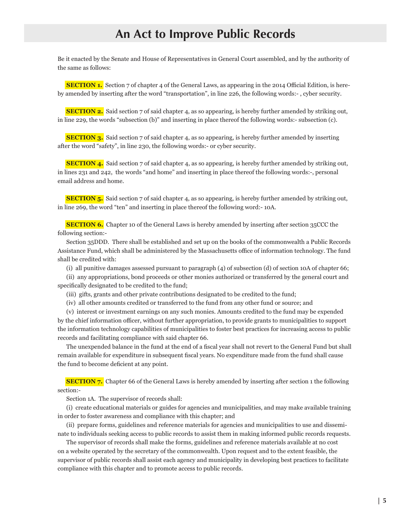## **An Act to Improve Public Records**

Be it enacted by the Senate and House of Representatives in General Court assembled, and by the authority of the same as follows:

**SECTION 1.** Section 7 of chapter 4 of the General Laws, as appearing in the 2014 Official Edition, is hereby amended by inserting after the word "transportation", in line 226, the following words:- , cyber security.

**SECTION 2.** Said section 7 of said chapter 4, as so appearing, is hereby further amended by striking out, in line 229, the words "subsection (b)" and inserting in place thereof the following words:- subsection (c).

**SECTION 3.** Said section 7 of said chapter 4, as so appearing, is hereby further amended by inserting after the word "safety", in line 230, the following words:- or cyber security.

**SECTION 4.** Said section 7 of said chapter 4, as so appearing, is hereby further amended by striking out, in lines 231 and 242, the words "and home" and inserting in place thereof the following words:-, personal email address and home.

**SECTION 5.** Said section 7 of said chapter 4, as so appearing, is hereby further amended by striking out, in line 269, the word "ten" and inserting in place thereof the following word:- 10A.

**SECTION 6.** Chapter 10 of the General Laws is hereby amended by inserting after section 35CCC the following section:-

 Section 35DDD. There shall be established and set up on the books of the commonwealth a Public Records Assistance Fund, which shall be administered by the Massachusetts office of information technology. The fund shall be credited with:

(i) all punitive damages assessed pursuant to paragraph (4) of subsection (d) of section 10A of chapter 66;

 (ii) any appropriations, bond proceeds or other monies authorized or transferred by the general court and specifically designated to be credited to the fund;

(iii) gifts, grants and other private contributions designated to be credited to the fund;

(iv) all other amounts credited or transferred to the fund from any other fund or source; and

 (v) interest or investment earnings on any such monies. Amounts credited to the fund may be expended by the chief information officer, without further appropriation, to provide grants to municipalities to support the information technology capabilities of municipalities to foster best practices for increasing access to public records and facilitating compliance with said chapter 66.

 The unexpended balance in the fund at the end of a fiscal year shall not revert to the General Fund but shall remain available for expenditure in subsequent fiscal years. No expenditure made from the fund shall cause the fund to become deficient at any point.

**SECTION 7.** Chapter 66 of the General Laws is hereby amended by inserting after section 1 the following section:-

Section 1A. The supervisor of records shall:

 (i) create educational materials or guides for agencies and municipalities, and may make available training in order to foster awareness and compliance with this chapter; and

 (ii) prepare forms, guidelines and reference materials for agencies and municipalities to use and disseminate to individuals seeking access to public records to assist them in making informed public records requests.

 The supervisor of records shall make the forms, guidelines and reference materials available at no cost on a website operated by the secretary of the commonwealth. Upon request and to the extent feasible, the supervisor of public records shall assist each agency and municipality in developing best practices to facilitate compliance with this chapter and to promote access to public records.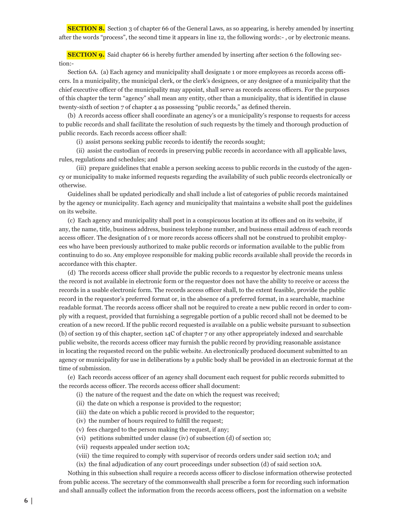**SECTION 8.** Section 3 of chapter 66 of the General Laws, as so appearing, is hereby amended by inserting after the words "process", the second time it appears in line 12, the following words:- , or by electronic means.

**SECTION 9.** Said chapter 66 is hereby further amended by inserting after section 6 the following section:-

 Section 6A. (a) Each agency and municipality shall designate 1 or more employees as records access officers. In a municipality, the municipal clerk, or the clerk's designees, or any designee of a municipality that the chief executive officer of the municipality may appoint, shall serve as records access officers. For the purposes of this chapter the term "agency" shall mean any entity, other than a municipality, that is identified in clause twenty-sixth of section 7 of chapter 4 as possessing "public records," as defined therein.

 (b) A records access officer shall coordinate an agency's or a municipality's response to requests for access to public records and shall facilitate the resolution of such requests by the timely and thorough production of public records. Each records access officer shall:

(i) assist persons seeking public records to identify the records sought;

 (ii) assist the custodian of records in preserving public records in accordance with all applicable laws, rules, regulations and schedules; and

 (iii) prepare guidelines that enable a person seeking access to public records in the custody of the agency or municipality to make informed requests regarding the availability of such public records electronically or otherwise.

 Guidelines shall be updated periodically and shall include a list of categories of public records maintained by the agency or municipality. Each agency and municipality that maintains a website shall post the guidelines on its website.

 (c) Each agency and municipality shall post in a conspicuous location at its offices and on its website, if any, the name, title, business address, business telephone number, and business email address of each records access officer. The designation of 1 or more records access officers shall not be construed to prohibit employees who have been previously authorized to make public records or information available to the public from continuing to do so. Any employee responsible for making public records available shall provide the records in accordance with this chapter.

 (d) The records access officer shall provide the public records to a requestor by electronic means unless the record is not available in electronic form or the requestor does not have the ability to receive or access the records in a usable electronic form. The records access officer shall, to the extent feasible, provide the public record in the requestor's preferred format or, in the absence of a preferred format, in a searchable, machine readable format. The records access officer shall not be required to create a new public record in order to comply with a request, provided that furnishing a segregable portion of a public record shall not be deemed to be creation of a new record. If the public record requested is available on a public website pursuant to subsection (b) of section 19 of this chapter, section 14C of chapter 7 or any other appropriately indexed and searchable public website, the records access officer may furnish the public record by providing reasonable assistance in locating the requested record on the public website. An electronically produced document submitted to an agency or municipality for use in deliberations by a public body shall be provided in an electronic format at the time of submission.

 (e) Each records access officer of an agency shall document each request for public records submitted to the records access officer. The records access officer shall document:

- (i) the nature of the request and the date on which the request was received;
- (ii) the date on which a response is provided to the requestor;
- (iii) the date on which a public record is provided to the requestor;
- (iv) the number of hours required to fulfill the request;
- (v) fees charged to the person making the request, if any;
- (vi) petitions submitted under clause (iv) of subsection (d) of section 10;
- (vii) requests appealed under section 10A;
- (viii) the time required to comply with supervisor of records orders under said section 10A; and
- (ix) the final adjudication of any court proceedings under subsection (d) of said section 10A.

 Nothing in this subsection shall require a records access officer to disclose information otherwise protected from public access. The secretary of the commonwealth shall prescribe a form for recording such information and shall annually collect the information from the records access officers, post the information on a website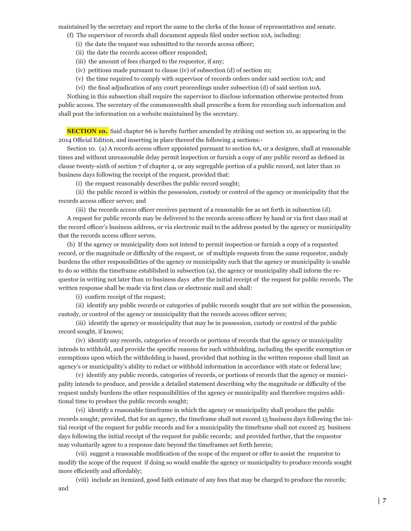maintained by the secretary and report the same to the clerks of the house of representatives and senate.

- (f) The supervisor of records shall document appeals filed under section 10A, including:
	- (i) the date the request was submitted to the records access officer;
	- (ii) the date the records access officer responded;
	- (iii) the amount of fees charged to the requestor, if any;
	- (iv) petitions made pursuant to clause (iv) of subsection (d) of section 10;
	- (v) the time required to comply with supervisor of records orders under said section 10A; and
	- (vi) the final adjudication of any court proceedings under subsection (d) of said section 10A.

 Nothing in this subsection shall require the supervisor to disclose information otherwise protected from public access. The secretary of the commonwealth shall prescribe a form for recording such information and shall post the information on a website maintained by the secretary.

**SECTION 10.** Said chapter 66 is hereby further amended by striking out section 10, as appearing in the 2014 Official Edition, and inserting in place thereof the following 4 sections:-

 Section 10. (a) A records access officer appointed pursuant to section 6A, or a designee, shall at reasonable times and without unreasonable delay permit inspection or furnish a copy of any public record as defined in clause twenty-sixth of section 7 of chapter 4, or any segregable portion of a public record, not later than 10 business days following the receipt of the request, provided that:

(i) the request reasonably describes the public record sought;

 (ii) the public record is within the possession, custody or control of the agency or municipality that the records access officer serves; and

(iii) the records access officer receives payment of a reasonable fee as set forth in subsection (d).

 A request for public records may be delivered to the records access officer by hand or via first class mail at the record officer's business address, or via electronic mail to the address posted by the agency or municipality that the records access officer serves.

 (b) If the agency or municipality does not intend to permit inspection or furnish a copy of a requested record, or the magnitude or difficulty of the request, or of multiple requests from the same requestor, unduly burdens the other responsibilities of the agency or municipality such that the agency or municipality is unable to do so within the timeframe established in subsection (a), the agency or municipality shall inform the requestor in writing not later than 10 business days after the initial receipt of the request for public records. The written response shall be made via first class or electronic mail and shall:

(i) confirm receipt of the request;

 (ii) identify any public records or categories of public records sought that are not within the possession, custody, or control of the agency or municipality that the records access officer serves;

 (iii) identify the agency or municipality that may be in possession, custody or control of the public record sought, if known;

 (iv) identify any records, categories of records or portions of records that the agency or municipality intends to withhold, and provide the specific reasons for such withholding, including the specific exemption or exemptions upon which the withholding is based, provided that nothing in the written response shall limit an agency's or municipality's ability to redact or withhold information in accordance with state or federal law;

 (v) identify any public records, categories of records, or portions of records that the agency or municipality intends to produce, and provide a detailed statement describing why the magnitude or difficulty of the request unduly burdens the other responsibilities of the agency or municipality and therefore requires additional time to produce the public records sought;

 (vi) identify a reasonable timeframe in which the agency or municipality shall produce the public records sought; provided, that for an agency, the timeframe shall not exceed 15 business days following the initial receipt of the request for public records and for a municipality the timeframe shall not exceed 25 business days following the initial receipt of the request for public records; and provided further, that the requestor may voluntarily agree to a response date beyond the timeframes set forth herein;

 (vii) suggest a reasonable modification of the scope of the request or offer to assist the requestor to modify the scope of the request if doing so would enable the agency or municipality to produce records sought more efficiently and affordably;

 (viii) include an itemized, good faith estimate of any fees that may be charged to produce the records; and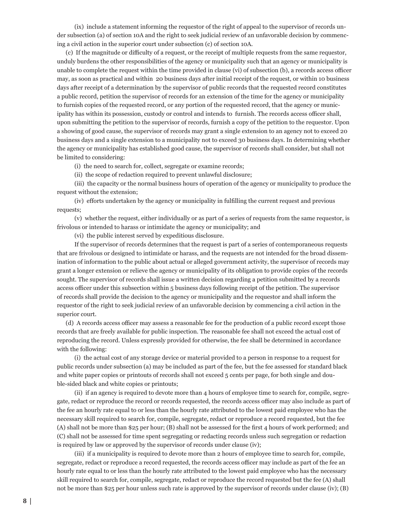(ix) include a statement informing the requestor of the right of appeal to the supervisor of records under subsection (a) of section 10A and the right to seek judicial review of an unfavorable decision by commencing a civil action in the superior court under subsection (c) of section 10A.

 (c) If the magnitude or difficulty of a request, or the receipt of multiple requests from the same requestor, unduly burdens the other responsibilities of the agency or municipality such that an agency or municipality is unable to complete the request within the time provided in clause (vi) of subsection (b), a records access officer may, as soon as practical and within 20 business days after initial receipt of the request, or within 10 business days after receipt of a determination by the supervisor of public records that the requested record constitutes a public record, petition the supervisor of records for an extension of the time for the agency or municipality to furnish copies of the requested record, or any portion of the requested record, that the agency or municipality has within its possession, custody or control and intends to furnish. The records access officer shall, upon submitting the petition to the supervisor of records, furnish a copy of the petition to the requestor. Upon a showing of good cause, the supervisor of records may grant a single extension to an agency not to exceed 20 business days and a single extension to a municipality not to exceed 30 business days. In determining whether the agency or municipality has established good cause, the supervisor of records shall consider, but shall not be limited to considering:

(i) the need to search for, collect, segregate or examine records;

(ii) the scope of redaction required to prevent unlawful disclosure;

 (iii) the capacity or the normal business hours of operation of the agency or municipality to produce the request without the extension;

 (iv) efforts undertaken by the agency or municipality in fulfilling the current request and previous requests;

 (v) whether the request, either individually or as part of a series of requests from the same requestor, is frivolous or intended to harass or intimidate the agency or municipality; and

(vi) the public interest served by expeditious disclosure.

 If the supervisor of records determines that the request is part of a series of contemporaneous requests that are frivolous or designed to intimidate or harass, and the requests are not intended for the broad dissemination of information to the public about actual or alleged government activity, the supervisor of records may grant a longer extension or relieve the agency or municipality of its obligation to provide copies of the records sought. The supervisor of records shall issue a written decision regarding a petition submitted by a records access officer under this subsection within 5 business days following receipt of the petition. The supervisor of records shall provide the decision to the agency or municipality and the requestor and shall inform the requestor of the right to seek judicial review of an unfavorable decision by commencing a civil action in the superior court.

 (d) A records access officer may assess a reasonable fee for the production of a public record except those records that are freely available for public inspection. The reasonable fee shall not exceed the actual cost of reproducing the record. Unless expressly provided for otherwise, the fee shall be determined in accordance with the following:

 (i) the actual cost of any storage device or material provided to a person in response to a request for public records under subsection (a) may be included as part of the fee, but the fee assessed for standard black and white paper copies or printouts of records shall not exceed 5 cents per page, for both single and double-sided black and white copies or printouts;

 (ii) if an agency is required to devote more than 4 hours of employee time to search for, compile, segregate, redact or reproduce the record or records requested, the records access officer may also include as part of the fee an hourly rate equal to or less than the hourly rate attributed to the lowest paid employee who has the necessary skill required to search for, compile, segregate, redact or reproduce a record requested, but the fee (A) shall not be more than \$25 per hour; (B) shall not be assessed for the first 4 hours of work performed; and (C) shall not be assessed for time spent segregating or redacting records unless such segregation or redaction is required by law or approved by the supervisor of records under clause (iv);

 (iii) if a municipality is required to devote more than 2 hours of employee time to search for, compile, segregate, redact or reproduce a record requested, the records access officer may include as part of the fee an hourly rate equal to or less than the hourly rate attributed to the lowest paid employee who has the necessary skill required to search for, compile, segregate, redact or reproduce the record requested but the fee (A) shall not be more than \$25 per hour unless such rate is approved by the supervisor of records under clause (iv); (B)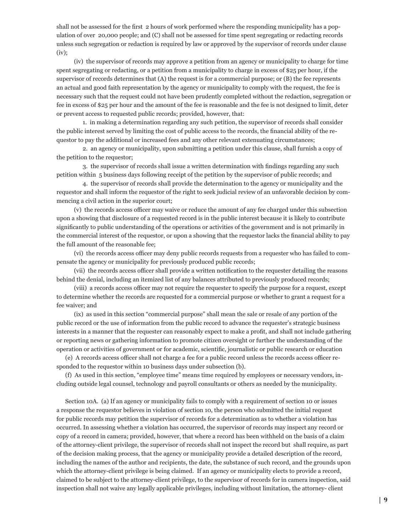shall not be assessed for the first 2 hours of work performed where the responding municipality has a population of over 20,000 people; and (C) shall not be assessed for time spent segregating or redacting records unless such segregation or redaction is required by law or approved by the supervisor of records under clause (iv);

 (iv) the supervisor of records may approve a petition from an agency or municipality to charge for time spent segregating or redacting, or a petition from a municipality to charge in excess of \$25 per hour, if the supervisor of records determines that (A) the request is for a commercial purpose; or (B) the fee represents an actual and good faith representation by the agency or municipality to comply with the request, the fee is necessary such that the request could not have been prudently completed without the redaction, segregation or fee in excess of \$25 per hour and the amount of the fee is reasonable and the fee is not designed to limit, deter or prevent access to requested public records; provided, however, that:

 1. in making a determination regarding any such petition, the supervisor of records shall consider the public interest served by limiting the cost of public access to the records, the financial ability of the requestor to pay the additional or increased fees and any other relevant extenuating circumstances;

 2. an agency or municipality, upon submitting a petition under this clause, shall furnish a copy of the petition to the requestor;

 3. the supervisor of records shall issue a written determination with findings regarding any such petition within 5 business days following receipt of the petition by the supervisor of public records; and

 4. the supervisor of records shall provide the determination to the agency or municipality and the requestor and shall inform the requestor of the right to seek judicial review of an unfavorable decision by commencing a civil action in the superior court;

 (v) the records access officer may waive or reduce the amount of any fee charged under this subsection upon a showing that disclosure of a requested record is in the public interest because it is likely to contribute significantly to public understanding of the operations or activities of the government and is not primarily in the commercial interest of the requestor, or upon a showing that the requestor lacks the financial ability to pay the full amount of the reasonable fee;

 (vi) the records access officer may deny public records requests from a requester who has failed to compensate the agency or municipality for previously produced public records;

 (vii) the records access officer shall provide a written notification to the requester detailing the reasons behind the denial, including an itemized list of any balances attributed to previously produced records;

 (viii) a records access officer may not require the requester to specify the purpose for a request, except to determine whether the records are requested for a commercial purpose or whether to grant a request for a fee waiver; and

 (ix) as used in this section "commercial purpose" shall mean the sale or resale of any portion of the public record or the use of information from the public record to advance the requester's strategic business interests in a manner that the requester can reasonably expect to make a profit, and shall not include gathering or reporting news or gathering information to promote citizen oversight or further the understanding of the operation or activities of government or for academic, scientific, journalistic or public research or education

 (e) A records access officer shall not charge a fee for a public record unless the records access officer responded to the requestor within 10 business days under subsection (b).

 (f) As used in this section, "employee time" means time required by employees or necessary vendors, including outside legal counsel, technology and payroll consultants or others as needed by the municipality.

 Section 10A. (a) If an agency or municipality fails to comply with a requirement of section 10 or issues a response the requestor believes in violation of section 10, the person who submitted the initial request for public records may petition the supervisor of records for a determination as to whether a violation has occurred. In assessing whether a violation has occurred, the supervisor of records may inspect any record or copy of a record in camera; provided, however, that where a record has been withheld on the basis of a claim of the attorney-client privilege, the supervisor of records shall not inspect the record but shall require, as part of the decision making process, that the agency or municipality provide a detailed description of the record, including the names of the author and recipients, the date, the substance of such record, and the grounds upon which the attorney-client privilege is being claimed. If an agency or municipality elects to provide a record, claimed to be subject to the attorney-client privilege, to the supervisor of records for in camera inspection, said inspection shall not waive any legally applicable privileges, including without limitation, the attorney- client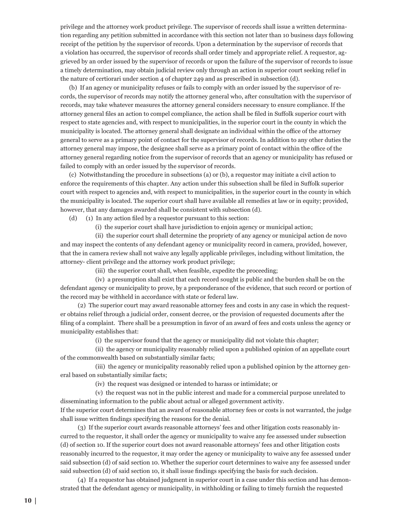privilege and the attorney work product privilege. The supervisor of records shall issue a written determination regarding any petition submitted in accordance with this section not later than 10 business days following receipt of the petition by the supervisor of records. Upon a determination by the supervisor of records that a violation has occurred, the supervisor of records shall order timely and appropriate relief. A requestor, aggrieved by an order issued by the supervisor of records or upon the failure of the supervisor of records to issue a timely determination, may obtain judicial review only through an action in superior court seeking relief in the nature of certiorari under section 4 of chapter 249 and as prescribed in subsection (d).

 (b) If an agency or municipality refuses or fails to comply with an order issued by the supervisor of records, the supervisor of records may notify the attorney general who, after consultation with the supervisor of records, may take whatever measures the attorney general considers necessary to ensure compliance. If the attorney general files an action to compel compliance, the action shall be filed in Suffolk superior court with respect to state agencies and, with respect to municipalities, in the superior court in the county in which the municipality is located. The attorney general shall designate an individual within the office of the attorney general to serve as a primary point of contact for the supervisor of records. In addition to any other duties the attorney general may impose, the designee shall serve as a primary point of contact within the office of the attorney general regarding notice from the supervisor of records that an agency or municipality has refused or failed to comply with an order issued by the supervisor of records.

 (c) Notwithstanding the procedure in subsections (a) or (b), a requestor may initiate a civil action to enforce the requirements of this chapter. Any action under this subsection shall be filed in Suffolk superior court with respect to agencies and, with respect to municipalities, in the superior court in the county in which the municipality is located. The superior court shall have available all remedies at law or in equity; provided, however, that any damages awarded shall be consistent with subsection (d).

(d) (1) In any action filed by a requestor pursuant to this section:

(i) the superior court shall have jurisdiction to enjoin agency or municipal action;

 (ii) the superior court shall determine the propriety of any agency or municipal action de novo and may inspect the contents of any defendant agency or municipality record in camera, provided, however, that the in camera review shall not waive any legally applicable privileges, including without limitation, the attorney- client privilege and the attorney work product privilege;

(iii) the superior court shall, when feasible, expedite the proceeding;

 (iv) a presumption shall exist that each record sought is public and the burden shall be on the defendant agency or municipality to prove, by a preponderance of the evidence, that such record or portion of the record may be withheld in accordance with state or federal law.

 (2) The superior court may award reasonable attorney fees and costs in any case in which the requester obtains relief through a judicial order, consent decree, or the provision of requested documents after the filing of a complaint. There shall be a presumption in favor of an award of fees and costs unless the agency or municipality establishes that:

(i) the supervisor found that the agency or municipality did not violate this chapter;

 (ii) the agency or municipality reasonably relied upon a published opinion of an appellate court of the commonwealth based on substantially similar facts;

 (iii) the agency or municipality reasonably relied upon a published opinion by the attorney general based on substantially similar facts;

(iv) the request was designed or intended to harass or intimidate; or

 (v) the request was not in the public interest and made for a commercial purpose unrelated to disseminating information to the public about actual or alleged government activity.

If the superior court determines that an award of reasonable attorney fees or costs is not warranted, the judge shall issue written findings specifying the reasons for the denial.

 (3) If the superior court awards reasonable attorneys' fees and other litigation costs reasonably incurred to the requestor, it shall order the agency or municipality to waive any fee assessed under subsection (d) of section 10. If the superior court does not award reasonable attorneys' fees and other litigation costs reasonably incurred to the requestor, it may order the agency or municipality to waive any fee assessed under said subsection (d) of said section 10. Whether the superior court determines to waive any fee assessed under said subsection (d) of said section 10, it shall issue findings specifying the basis for such decision.

 (4) If a requestor has obtained judgment in superior court in a case under this section and has demonstrated that the defendant agency or municipality, in withholding or failing to timely furnish the requested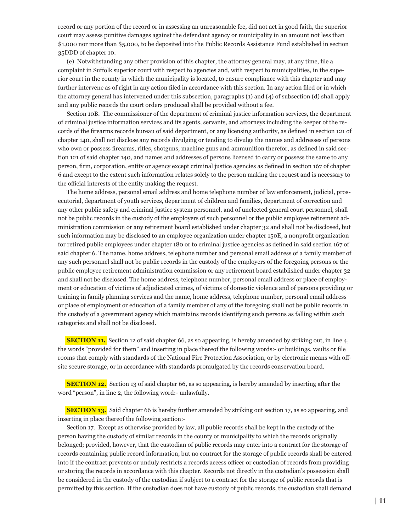record or any portion of the record or in assessing an unreasonable fee, did not act in good faith, the superior court may assess punitive damages against the defendant agency or municipality in an amount not less than \$1,000 nor more than \$5,000, to be deposited into the Public Records Assistance Fund established in section 35DDD of chapter 10.

 (e) Notwithstanding any other provision of this chapter, the attorney general may, at any time, file a complaint in Suffolk superior court with respect to agencies and, with respect to municipalities, in the superior court in the county in which the municipality is located, to ensure compliance with this chapter and may further intervene as of right in any action filed in accordance with this section. In any action filed or in which the attorney general has intervened under this subsection, paragraphs (1) and (4) of subsection (d) shall apply and any public records the court orders produced shall be provided without a fee.

 Section 10B. The commissioner of the department of criminal justice information services, the department of criminal justice information services and its agents, servants, and attorneys including the keeper of the records of the firearms records bureau of said department, or any licensing authority, as defined in section 121 of chapter 140, shall not disclose any records divulging or tending to divulge the names and addresses of persons who own or possess firearms, rifles, shotguns, machine guns and ammunition therefor, as defined in said section 121 of said chapter 140, and names and addresses of persons licensed to carry or possess the same to any person, firm, corporation, entity or agency except criminal justice agencies as defined in section 167 of chapter 6 and except to the extent such information relates solely to the person making the request and is necessary to the official interests of the entity making the request.

 The home address, personal email address and home telephone number of law enforcement, judicial, prosecutorial, department of youth services, department of children and families, department of correction and any other public safety and criminal justice system personnel, and of unelected general court personnel, shall not be public records in the custody of the employers of such personnel or the public employee retirement administration commission or any retirement board established under chapter 32 and shall not be disclosed, but such information may be disclosed to an employee organization under chapter 150E, a nonprofit organization for retired public employees under chapter 180 or to criminal justice agencies as defined in said section 167 of said chapter 6. The name, home address, telephone number and personal email address of a family member of any such personnel shall not be public records in the custody of the employers of the foregoing persons or the public employee retirement administration commission or any retirement board established under chapter 32 and shall not be disclosed. The home address, telephone number, personal email address or place of employment or education of victims of adjudicated crimes, of victims of domestic violence and of persons providing or training in family planning services and the name, home address, telephone number, personal email address or place of employment or education of a family member of any of the foregoing shall not be public records in the custody of a government agency which maintains records identifying such persons as falling within such categories and shall not be disclosed.

**SECTION 11.** Section 12 of said chapter 66, as so appearing, is hereby amended by striking out, in line 4, the words "provided for them" and inserting in place thereof the following words:- or buildings, vaults or file rooms that comply with standards of the National Fire Protection Association, or by electronic means with offsite secure storage, or in accordance with standards promulgated by the records conservation board.

**SECTION 12.** Section 13 of said chapter 66, as so appearing, is hereby amended by inserting after the word "person", in line 2, the following word:- unlawfully.

**SECTION 13.** Said chapter 66 is hereby further amended by striking out section 17, as so appearing, and inserting in place thereof the following section:-

 Section 17. Except as otherwise provided by law, all public records shall be kept in the custody of the person having the custody of similar records in the county or municipality to which the records originally belonged; provided, however, that the custodian of public records may enter into a contract for the storage of records containing public record information, but no contract for the storage of public records shall be entered into if the contract prevents or unduly restricts a records access officer or custodian of records from providing or storing the records in accordance with this chapter. Records not directly in the custodian's possession shall be considered in the custody of the custodian if subject to a contract for the storage of public records that is permitted by this section. If the custodian does not have custody of public records, the custodian shall demand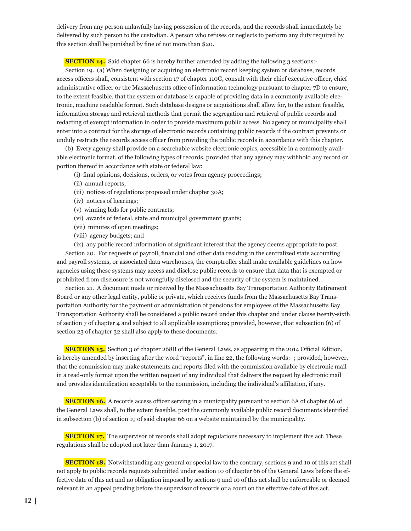delivery from any person unlawfully having possession of the records, and the records shall immediately be delivered by such person to the custodian. A person who refuses or neglects to perform any duty required by this section shall be punished by fine of not more than \$20.

**SECTION 14.** Said chapter 66 is hereby further amended by adding the following 3 sections:-

 Section 19. (a) When designing or acquiring an electronic record keeping system or database, records access officers shall, consistent with section 17 of chapter 110G, consult with their chief executive officer, chief administrative officer or the Massachusetts office of information technology pursuant to chapter 7D to ensure, to the extent feasible, that the system or database is capable of providing data in a commonly available electronic, machine readable format. Such database designs or acquisitions shall allow for, to the extent feasible, information storage and retrieval methods that permit the segregation and retrieval of public records and redacting of exempt information in order to provide maximum public access. No agency or municipality shall enter into a contract for the storage of electronic records containing public records if the contract prevents or unduly restricts the records access officer from providing the public records in accordance with this chapter.

 (b) Every agency shall provide on a searchable website electronic copies, accessible in a commonly available electronic format, of the following types of records, provided that any agency may withhold any record or portion thereof in accordance with state or federal law:

- (i) final opinions, decisions, orders, or votes from agency proceedings;
- (ii) annual reports;
- (iii) notices of regulations proposed under chapter 30A;
- (iv) notices of hearings;
- (v) winning bids for public contracts;
- (vi) awards of federal, state and municipal government grants;
- (vii) minutes of open meetings;
- (viii) agency budgets; and
- (ix) any public record information of significant interest that the agency deems appropriate to post.

 Section 20. For requests of payroll, financial and other data residing in the centralized state accounting and payroll systems, or associated data warehouses, the comptroller shall make available guidelines on how agencies using these systems may access and disclose public records to ensure that data that is exempted or prohibited from disclosure is not wrongfully disclosed and the security of the system is maintained.

 Section 21. A document made or received by the Massachusetts Bay Transportation Authority Retirement Board or any other legal entity, public or private, which receives funds from the Massachusetts Bay Transportation Authority for the payment or administration of pensions for employees of the Massachusetts Bay Transportation Authority shall be considered a public record under this chapter and under clause twenty-sixth of section 7 of chapter 4 and subject to all applicable exemptions; provided, however, that subsection (6) of section 23 of chapter 32 shall also apply to these documents.

 **SECTION 15.** Section 3 of chapter 268B of the General Laws, as appearing in the 2014 Official Edition, is hereby amended by inserting after the word "reports", in line 22, the following words:- ; provided, however, that the commission may make statements and reports filed with the commission available by electronic mail in a read-only format upon the written request of any individual that delivers the request by electronic mail and provides identification acceptable to the commission, including the individual's affiliation, if any.

**SECTION 16.** A records access officer serving in a municipality pursuant to section 6A of chapter 66 of the General Laws shall, to the extent feasible, post the commonly available public record documents identified in subsection (b) of section 19 of said chapter 66 on a website maintained by the municipality.

**SECTION 17.** The supervisor of records shall adopt regulations necessary to implement this act. These regulations shall be adopted not later than January 1, 2017.

**SECTION 18.** Notwithstanding any general or special law to the contrary, sections 9 and 10 of this act shall not apply to public records requests submitted under section 10 of chapter 66 of the General Laws before the effective date of this act and no obligation imposed by sections 9 and 10 of this act shall be enforceable or deemed relevant in an appeal pending before the supervisor of records or a court on the effective date of this act.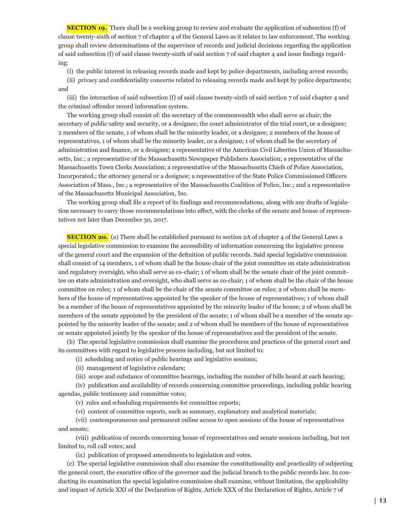**SECTION 19.** There shall be a working group to review and evaluate the application of subsection (f) of clause twenty-sixth of section 7 of chapter 4 of the General Laws as it relates to law enforcement. The working group shall review determinations of the supervisor of records and judicial decisions regarding the application of said subsection (f) of said clause twenty-sixth of said section 7 of said chapter 4 and issue findings regarding:

(i) the public interest in releasing records made and kept by police departments, including arrest records;

 (ii) privacy and confidentiality concerns related to releasing records made and kept by police departments; and

 (iii) the interaction of said subsection (f) of said clause twenty-sixth of said section 7 of said chapter 4 and the criminal offender record information system.

 The working group shall consist of: the secretary of the commonwealth who shall serve as chair; the secretary of public safety and security, or a designee; the court administrator of the trial court, or a designee; 2 members of the senate, 1 of whom shall be the minority leader, or a designee; 2 members of the house of representatives, 1 of whom shall be the minority leader, or a designee; 1 of whom shall be the secretary of administration and finance, or a designee; a representative of the American Civil Liberties Union of Massachusetts, Inc.; a representative of the Massachusetts Newspaper Publishers Association; a representative of the Massachusetts Town Clerks Association; a representative of the Massachusetts Chiefs of Police Association, Incorporated.; the attorney general or a designee; a representative of the State Police Commissioned Officers Association of Mass., Inc.; a representative of the Massachusetts Coalition of Police, Inc.; and a representative of the Massachusetts Municipal Association, Inc.

 The working group shall file a report of its findings and recommendations, along with any drafts of legislation necessary to carry those recommendations into effect, with the clerks of the senate and house of representatives not later than December 30, 2017.

**SECTION 20.** (a) There shall be established pursuant to section 2A of chapter 4 of the General Laws a special legislative commission to examine the accessibility of information concerning the legislative process of the general court and the expansion of the definition of public records. Said special legislative commission shall consist of 14 members, 1 of whom shall be the house chair of the joint committee on state administration and regulatory oversight, who shall serve as co-chair; 1 of whom shall be the senate chair of the joint committee on state administration and oversight, who shall serve as co-chair; 1 of whom shall be the chair of the house committee on rules; 1 of whom shall be the chair of the senate committee on rules; 2 of whom shall be members of the house of representatives appointed by the speaker of the house of representatives; 1 of whom shall be a member of the house of representatives appointed by the minority leader of the house; 2 of whom shall be members of the senate appointed by the president of the senate; 1 of whom shall be a member of the senate appointed by the minority leader of the senate; and 2 of whom shall be members of the house of representatives or senate appointed jointly by the speaker of the house of representatives and the president of the senate.

 (b) The special legislative commission shall examine the procedures and practices of the general court and its committees with regard to legislative process including, but not limited to:

(i) scheduling and notice of public hearings and legislative sessions;

(ii) management of legislative calendars;

(iii) scope and substance of committee hearings, including the number of bills heard at each hearing;

 (iv) publication and availability of records concerning committee proceedings, including public hearing agendas, public testimony and committee votes;

(v) rules and scheduling requirements for committee reports;

(vi) content of committee reports, such as summary, explanatory and analytical materials;

 (vii) contemporaneous and permanent online access to open sessions of the house of representatives and senate;

 (viii) publication of records concerning house of representatives and senate sessions including, but not limited to, roll call votes; and

(ix) publication of proposed amendments to legislation and votes.

 (c) The special legislative commission shall also examine the constitutionality and practicality of subjecting the general court, the executive office of the governor and the judicial branch to the public records law. In conducting its examination the special legislative commission shall examine, without limitation, the applicability and impact of Article XXI of the Declaration of Rights, Article XXX of the Declaration of Rights, Article 7 of